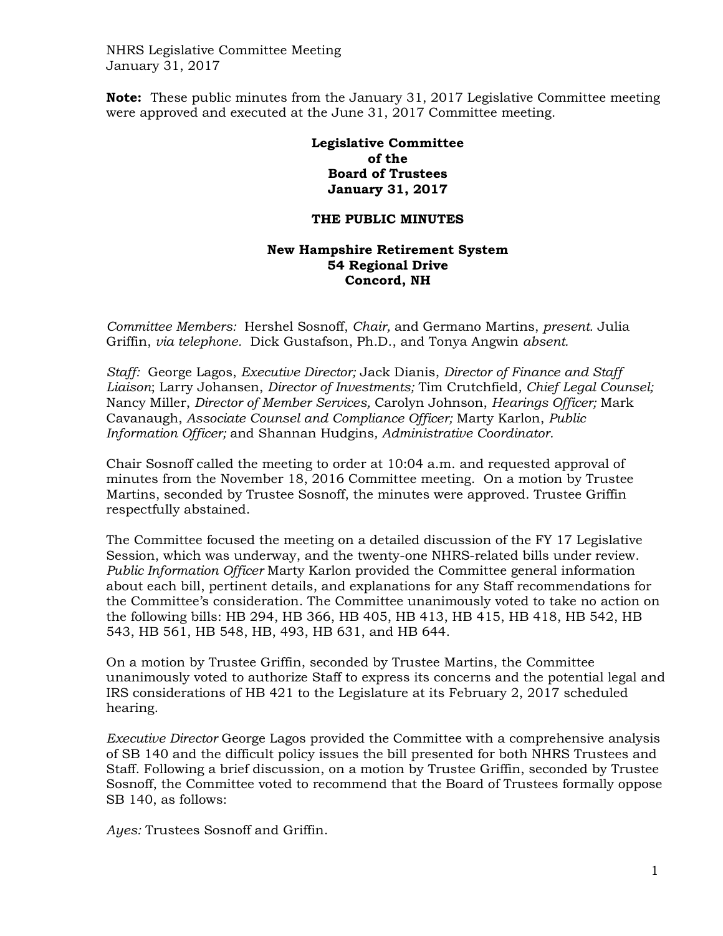NHRS Legislative Committee Meeting January 31, 2017

**Note:** These public minutes from the January 31, 2017 Legislative Committee meeting were approved and executed at the June 31, 2017 Committee meeting.

> **Legislative Committee of the Board of Trustees January 31, 2017**

## **THE PUBLIC MINUTES**

## **New Hampshire Retirement System 54 Regional Drive Concord, NH**

*Committee Members:* Hershel Sosnoff, *Chair,* and Germano Martins, *present.* Julia Griffin, *via telephone.* Dick Gustafson, Ph.D., and Tonya Angwin *absent.* 

*Staff:* George Lagos, *Executive Director;* Jack Dianis, *Director of Finance and Staff Liaison*; Larry Johansen, *Director of Investments;* Tim Crutchfield*, Chief Legal Counsel;*  Nancy Miller, *Director of Member Services,* Carolyn Johnson, *Hearings Officer;* Mark Cavanaugh, *Associate Counsel and Compliance Officer;* Marty Karlon, *Public Information Officer;* and Shannan Hudgins*, Administrative Coordinator.*

Chair Sosnoff called the meeting to order at 10:04 a.m. and requested approval of minutes from the November 18, 2016 Committee meeting. On a motion by Trustee Martins, seconded by Trustee Sosnoff, the minutes were approved. Trustee Griffin respectfully abstained.

The Committee focused the meeting on a detailed discussion of the FY 17 Legislative Session, which was underway, and the twenty-one NHRS-related bills under review. *Public Information Officer* Marty Karlon provided the Committee general information about each bill, pertinent details, and explanations for any Staff recommendations for the Committee's consideration. The Committee unanimously voted to take no action on the following bills: HB 294, HB 366, HB 405, HB 413, HB 415, HB 418, HB 542, HB 543, HB 561, HB 548, HB, 493, HB 631, and HB 644.

On a motion by Trustee Griffin, seconded by Trustee Martins, the Committee unanimously voted to authorize Staff to express its concerns and the potential legal and IRS considerations of HB 421 to the Legislature at its February 2, 2017 scheduled hearing.

*Executive Director* George Lagos provided the Committee with a comprehensive analysis of SB 140 and the difficult policy issues the bill presented for both NHRS Trustees and Staff. Following a brief discussion, on a motion by Trustee Griffin, seconded by Trustee Sosnoff, the Committee voted to recommend that the Board of Trustees formally oppose SB 140, as follows:

*Ayes:* Trustees Sosnoff and Griffin.